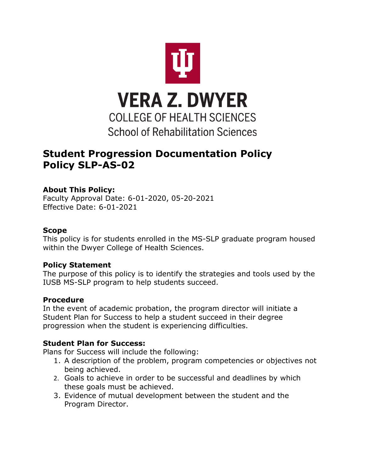

# **Student Progression Documentation Policy Policy SLP-AS-02**

## **About This Policy:**

Faculty Approval Date: 6-01-2020, 05-20-2021 Effective Date: 6-01-2021

#### **Scope**

This policy is for students enrolled in the MS-SLP graduate program housed within the Dwyer College of Health Sciences.

#### **Policy Statement**

The purpose of this policy is to identify the strategies and tools used by the IUSB MS-SLP program to help students succeed.

## **Procedure**

In the event of academic probation, the program director will initiate a Student Plan for Success to help a student succeed in their degree progression when the student is experiencing difficulties.

## **Student Plan for Success:**

Plans for Success will include the following:

- 1. A description of the problem, program competencies or objectives not being achieved.
- 2. Goals to achieve in order to be successful and deadlines by which these goals must be achieved.
- 3. Evidence of mutual development between the student and the Program Director.